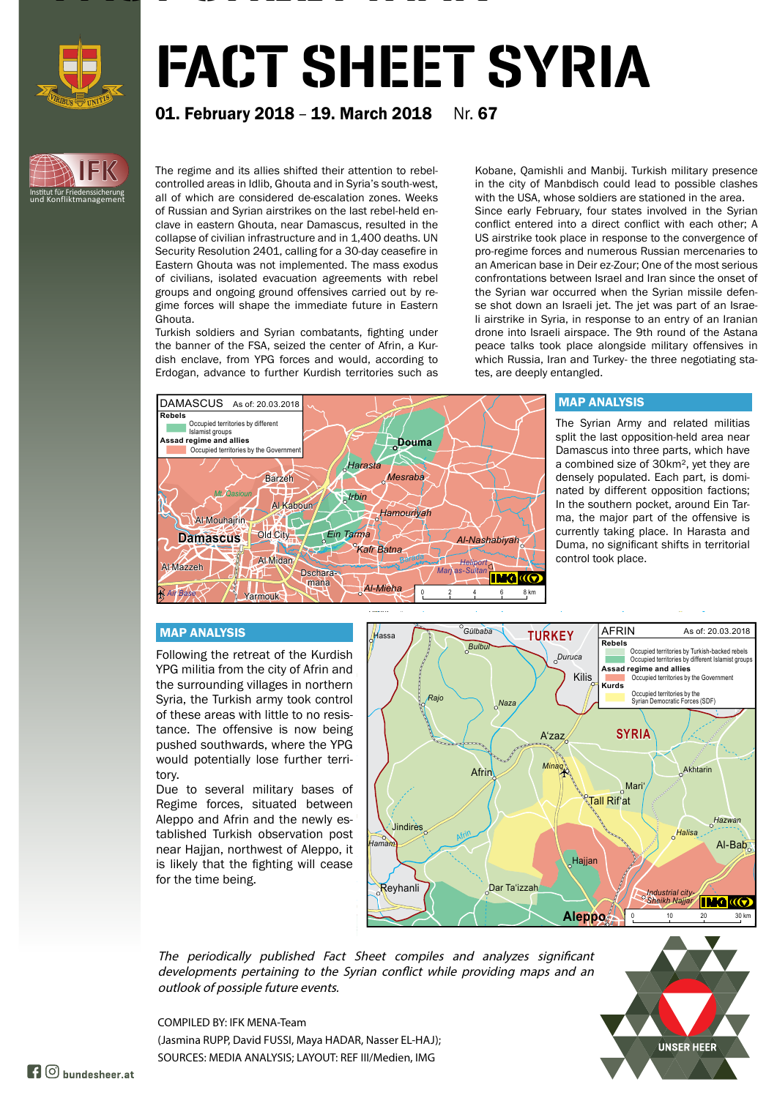

**IFK**

Institut für Friedenssicherung und Konfliktmanagement

# FACT SHEET SYRIA

## **01. February 2018 - 19. March 2018** Nr. 67

The regime and its allies shifted their attention to rebelcontrolled areas in Idlib, Ghouta and in Syria's south-west, all of which are considered de-escalation zones. Weeks of Russian and Syrian airstrikes on the last rebel-held enclave in eastern Ghouta, near Damascus, resulted in the collapse of civilian infrastructure and in 1,400 deaths. UN Security Resolution 2401, calling for a 30-day ceasefire in Eastern Ghouta was not implemented. The mass exodus of civilians, isolated evacuation agreements with rebel groups and ongoing ground offensives carried out by regime forces will shape the immediate future in Eastern Ghouta.

FACTOR SHEET IS SHEET IN THE SHEET IS SHEET IN

Turkish soldiers and Syrian combatants, fighting under the banner of the FSA, seized the center of Afrin, a Kurdish enclave, from YPG forces and would, according to Erdogan, advance to further Kurdish territories such as

Kobane, Qamishli and Manbij. Turkish military presence in the city of Manbdisch could lead to possible clashes with the USA, whose soldiers are stationed in the area. Since early February, four states involved in the Syrian conflict entered into a direct conflict with each other; A US airstrike took place in response to the convergence of pro-regime forces and numerous Russian mercenaries to an American base in Deir ez-Zour; One of the most serious confrontations between Israel and Iran since the onset of the Syrian war occurred when the Syrian missile defense shot down an Israeli jet. The jet was part of an Israeli airstrike in Syria, in response to an entry of an Iranian drone into Israeli airspace. The 9th round of the Astana peace talks took place alongside military offensives in which Russia, Iran and Turkey- the three negotiating states, are deeply entangled.



### MAP ANALYSIS

The Syrian Army and related militias split the last opposition-held area near Damascus into three parts, which have a combined size of 30km², yet they are densely populated. Each part, is dominated by different opposition factions; In the southern pocket, around Ein Tarma, the major part of the offensive is currently taking place. In Harasta and Duma, no significant shifts in territorial control took place.

#### MAP ANALYSIS

Following the retreat of the Kurdish YPG militia from the city of Afrin and the surrounding villages in northern Syria, the Turkish army took control of these areas with little to no resistance. The offensive is now being pushed southwards, where the YPG would potentially lose further territory.

Due to several military bases of Regime forces, situated between Aleppo and Afrin and the newly established Turkish observation post near Hajjan, northwest of Aleppo, it is likely that the fighting will cease for the time being.



The periodically published Fact Sheet compiles and analyzes significant developments pertaining to the Syrian conflict while providing maps and an outlook of possiple future events.

**UNSER HEER** 

COMPILED BY: IFK MENA-Team (Jasmina RUPP, David FUSSI, Maya HADAR, Nasser EL-HAJ); SOURCES: MEDIA ANALYSIS; LAYOUT: REF III/Medien, IMG